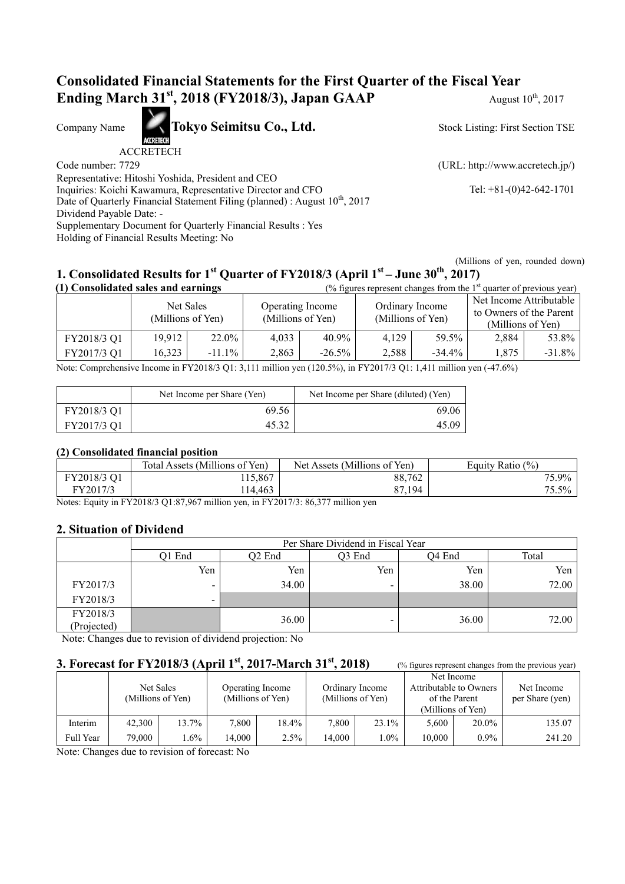# **Consolidated Financial Statements for the First Quarter of the Fiscal Year Ending March 31<sup>st</sup>, 2018 (FY2018/3), Japan GAAP** August 10<sup>th</sup>, 2017

Company Name **Tokyo Seimitsu Co., Ltd.** 

ACCRETECH

Code number: 7729 (URL: http://www.accretech.jp/)

Stock Listing: First Section TSE

Representative: Hitoshi Yoshida, President and CEO

Inquiries: Koichi Kawamura, Representative Director and CFO Tel: +81-(0)42-642-1701 Date of Quarterly Financial Statement Filing (planned) : August 10<sup>th</sup>, 2017

Dividend Payable Date: -

Supplementary Document for Quarterly Financial Results : Yes

Holding of Financial Results Meeting: No

(Millions of yen, rounded down)

# **1. Consolidated Results for 1st Quarter of FY2018/3 (April 1st – June 30th, 2017)**

| (1) Consolidated sales and earnings |                                |           |                                       |           |                                      | (% figures represent changes from the $1st$ quarter of previous year) |                                                                         |           |
|-------------------------------------|--------------------------------|-----------|---------------------------------------|-----------|--------------------------------------|-----------------------------------------------------------------------|-------------------------------------------------------------------------|-----------|
|                                     | Net Sales<br>(Millions of Yen) |           | Operating Income<br>(Millions of Yen) |           | Ordinary Income<br>(Millions of Yen) |                                                                       | Net Income Attributable<br>to Owners of the Parent<br>(Millions of Yen) |           |
| FY2018/3 Q1                         | 19.912                         | 22.0%     | 4.033                                 | 40.9%     | 4.129                                | 59.5%                                                                 | 2.884                                                                   | 53.8%     |
| FY2017/3 Q1                         | 16,323                         | $-11.1\%$ | 2,863                                 | $-26.5\%$ | 2,588                                | $-34.4\%$                                                             | 1.875                                                                   | $-31.8\%$ |

Note: Comprehensive Income in FY2018/3 Q1: 3,111 million yen (120.5%), in FY2017/3 Q1: 1,411 million yen (-47.6%)

|             | Net Income per Share (Yen) | Net Income per Share (diluted) (Yen) |
|-------------|----------------------------|--------------------------------------|
| FY2018/3 Q1 | 69.56                      | 69.06                                |
| FY2017/3 Q1 | 45.32                      | 45.09                                |

## **(2) Consolidated financial position**

|             | Total Assets (Millions of Yen) | Net Assets (Millions of Yen) | Equity Ratio $(\%)$ |
|-------------|--------------------------------|------------------------------|---------------------|
| FY2018/3 Q1 | 115,867                        | 88,762                       | 75.9%               |
| FY2017/3    | 114,463                        | 87,194                       | 75.5%               |

Notes: Equity in FY2018/3 Q1:87,967 million yen, in FY2017/3: 86,377 million yen

## **2. Situation of Dividend**

|             | Per Share Dividend in Fiscal Year |                    |                          |        |       |  |  |
|-------------|-----------------------------------|--------------------|--------------------------|--------|-------|--|--|
|             | Q1 End                            | Q <sub>2</sub> End | Q3 End                   | O4 End | Total |  |  |
|             | Yen                               | Yen                | Yen                      | Yen    | Yen   |  |  |
| FY2017/3    | $\overline{\phantom{0}}$          | 34.00              | $\overline{\phantom{0}}$ | 38.00  | 72.00 |  |  |
| FY2018/3    | -                                 |                    |                          |        |       |  |  |
| FY2018/3    |                                   | 36.00              | -                        | 36.00  | 72.00 |  |  |
| (Projected) |                                   |                    |                          |        |       |  |  |

Note: Changes due to revision of dividend projection: No

## **3. Forecast for FY2018/3 (April 1<sup>st</sup>, 2017-March 31<sup>st</sup>, 2018)** (% figures represent changes from the previous year)

|           | (Millions of Yen) | Net Sales |        | Operating Income<br>(Millions of Yen) |        | Ordinary Income<br>(Millions of Yen) | of the Parent<br>(Millions of Yen) | Net Income<br>Attributable to Owners | Net Income<br>per Share (yen) |
|-----------|-------------------|-----------|--------|---------------------------------------|--------|--------------------------------------|------------------------------------|--------------------------------------|-------------------------------|
| Interim   | 42,300            | 13.7%     | 7,800  | 18.4%                                 | 7.800  | 23.1%                                | 5.600                              | 20.0%                                | 135.07                        |
| Full Year | 79.000            | $.6\%$    | 14.000 | 2.5%                                  | 14.000 | $.0\%$                               | 10.000                             | $0.9\%$                              | 241.20                        |

Note: Changes due to revision of forecast: No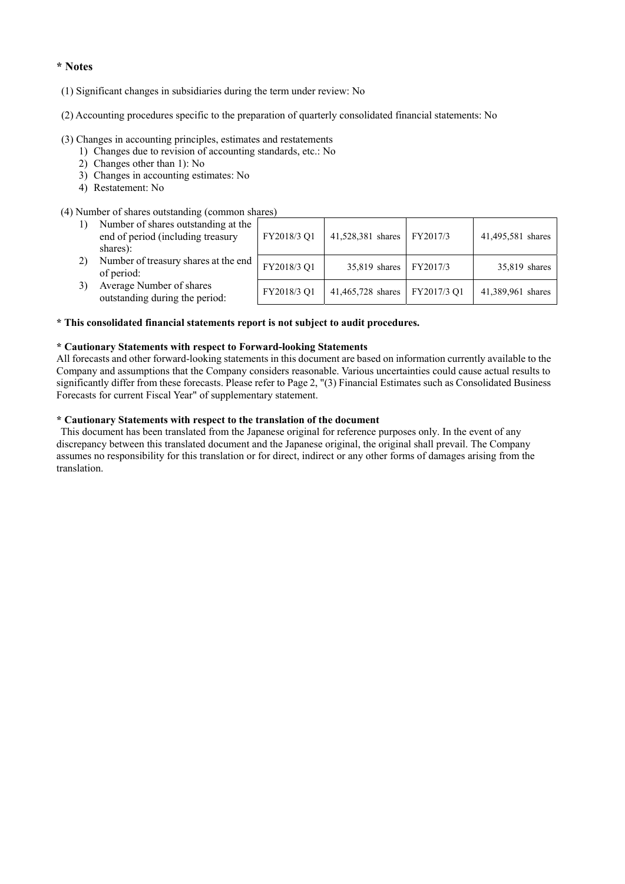#### **\* Notes**

- (1) Significant changes in subsidiaries during the term under review: No
- (2) Accounting procedures specific to the preparation of quarterly consolidated financial statements: No

#### (3) Changes in accounting principles, estimates and restatements

- 1) Changes due to revision of accounting standards, etc.: No
- 2) Changes other than 1): No
- 3) Changes in accounting estimates: No
- 4) Restatement: No

#### (4) Number of shares outstanding (common shares)

| Number of shares outstanding at the<br>end of period (including treasury<br>shares): | FY2018/3 Q1 | 41,528,381 shares | FY2017/3    | 41,495,581 shares |
|--------------------------------------------------------------------------------------|-------------|-------------------|-------------|-------------------|
| Number of treasury shares at the end<br>of period:                                   | FY2018/3 Q1 | 35,819 shares     | FY2017/3    | 35,819 shares     |
| Average Number of shares<br>outstanding during the period:                           | FY2018/3 Q1 | 41,465,728 shares | FY2017/3 Q1 | 41,389,961 shares |

### **\* This consolidated financial statements report is not subject to audit procedures.**

#### **\* Cautionary Statements with respect to Forward-looking Statements**

All forecasts and other forward-looking statements in this document are based on information currently available to the Company and assumptions that the Company considers reasonable. Various uncertainties could cause actual results to significantly differ from these forecasts. Please refer to Page 2, "(3) Financial Estimates such as Consolidated Business Forecasts for current Fiscal Year" of supplementary statement.

### **\* Cautionary Statements with respect to the translation of the document**

 This document has been translated from the Japanese original for reference purposes only. In the event of any discrepancy between this translated document and the Japanese original, the original shall prevail. The Company assumes no responsibility for this translation or for direct, indirect or any other forms of damages arising from the translation.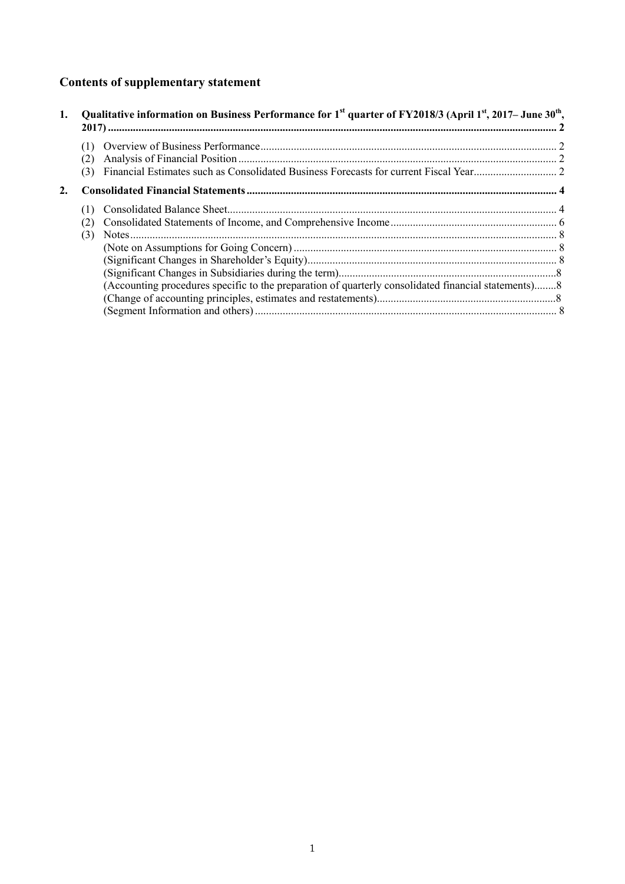# **Contents of supplementary statement**

| 1. |     | Qualitative information on Business Performance for 1 <sup>st</sup> quarter of FY2018/3 (April 1 <sup>st</sup> , 2017– June 30 <sup>th</sup> , |  |
|----|-----|------------------------------------------------------------------------------------------------------------------------------------------------|--|
|    |     |                                                                                                                                                |  |
|    |     |                                                                                                                                                |  |
|    | (3) |                                                                                                                                                |  |
| 2. |     |                                                                                                                                                |  |
|    |     |                                                                                                                                                |  |
|    |     |                                                                                                                                                |  |
|    | (3) |                                                                                                                                                |  |
|    |     |                                                                                                                                                |  |
|    |     |                                                                                                                                                |  |
|    |     |                                                                                                                                                |  |
|    |     | (Accounting procedures specific to the preparation of quarterly consolidated financial statements)8                                            |  |
|    |     |                                                                                                                                                |  |
|    |     |                                                                                                                                                |  |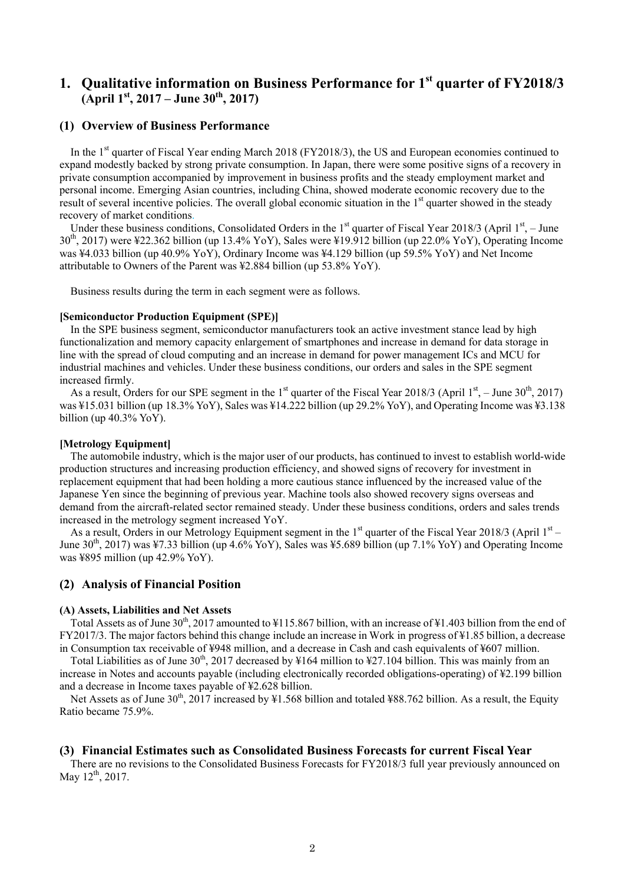# **1. Qualitative information on Business Performance for 1st quarter of FY2018/3 (April 1st, 2017 – June 30th, 2017)**

## **(1) Overview of Business Performance**

In the 1<sup>st</sup> quarter of Fiscal Year ending March 2018 (FY2018/3), the US and European economies continued to expand modestly backed by strong private consumption. In Japan, there were some positive signs of a recovery in private consumption accompanied by improvement in business profits and the steady employment market and personal income. Emerging Asian countries, including China, showed moderate economic recovery due to the result of several incentive policies. The overall global economic situation in the 1<sup>st</sup> quarter showed in the steady recovery of market conditions.

Under these business conditions, Consolidated Orders in the 1<sup>st</sup> quarter of Fiscal Year 2018/3 (April 1<sup>st</sup>, – June 30th, 2017) were ¥22.362 billion (up 13.4% YoY), Sales were ¥19.912 billion (up 22.0% YoY), Operating Income was ¥4.033 billion (up 40.9% YoY), Ordinary Income was ¥4.129 billion (up 59.5% YoY) and Net Income attributable to Owners of the Parent was ¥2.884 billion (up 53.8% YoY).

Business results during the term in each segment were as follows.

#### **[Semiconductor Production Equipment (SPE)]**

In the SPE business segment, semiconductor manufacturers took an active investment stance lead by high functionalization and memory capacity enlargement of smartphones and increase in demand for data storage in line with the spread of cloud computing and an increase in demand for power management ICs and MCU for industrial machines and vehicles. Under these business conditions, our orders and sales in the SPE segment increased firmly.

As a result, Orders for our SPE segment in the 1<sup>st</sup> quarter of the Fiscal Year 2018/3 (April 1<sup>st</sup>, – June 30<sup>th</sup>, 2017) was ¥15.031 billion (up 18.3% YoY), Sales was ¥14.222 billion (up 29.2% YoY), and Operating Income was ¥3.138 billion (up 40.3% YoY).

#### **[Metrology Equipment]**

The automobile industry, which is the major user of our products, has continued to invest to establish world-wide production structures and increasing production efficiency, and showed signs of recovery for investment in replacement equipment that had been holding a more cautious stance influenced by the increased value of the Japanese Yen since the beginning of previous year. Machine tools also showed recovery signs overseas and demand from the aircraft-related sector remained steady. Under these business conditions, orders and sales trends increased in the metrology segment increased YoY.

As a result, Orders in our Metrology Equipment segment in the  $1<sup>st</sup>$  quarter of the Fiscal Year 2018/3 (April  $1<sup>st</sup>$  – June  $30<sup>th</sup>$ , 2017) was ¥7.33 billion (up 4.6% YoY), Sales was ¥5.689 billion (up 7.1% YoY) and Operating Income was ¥895 million (up 42.9% YoY).

#### **(2) Analysis of Financial Position**

#### **(A) Assets, Liabilities and Net Assets**

Total Assets as of June  $30^{th}$ , 2017 amounted to ¥115.867 billion, with an increase of ¥1.403 billion from the end of FY2017/3. The major factors behind this change include an increase in Work in progress of ¥1.85 billion, a decrease in Consumption tax receivable of ¥948 million, and a decrease in Cash and cash equivalents of ¥607 million.

Total Liabilities as of June 30<sup>th</sup>, 2017 decreased by ¥164 million to ¥27.104 billion. This was mainly from an increase in Notes and accounts payable (including electronically recorded obligations-operating) of ¥2.199 billion and a decrease in Income taxes payable of ¥2.628 billion.

Net Assets as of June  $30^{\text{th}}$ , 2017 increased by ¥1.568 billion and totaled ¥88.762 billion. As a result, the Equity Ratio became 75.9%.

#### **(3) Financial Estimates such as Consolidated Business Forecasts for current Fiscal Year**

There are no revisions to the Consolidated Business Forecasts for FY2018/3 full year previously announced on May  $12^{th}$ , 2017.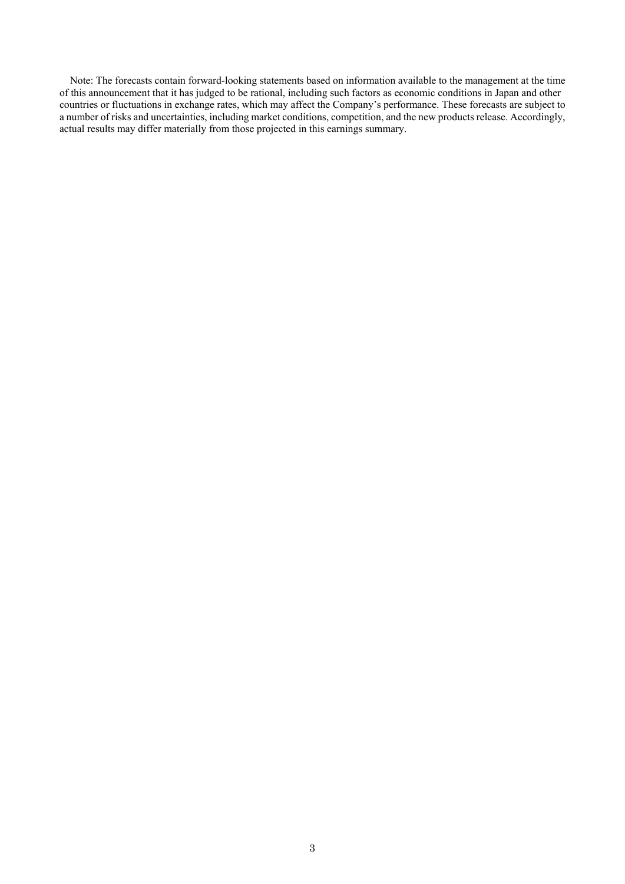Note: The forecasts contain forward-looking statements based on information available to the management at the time of this announcement that it has judged to be rational, including such factors as economic conditions in Japan and other countries or fluctuations in exchange rates, which may affect the Company's performance. These forecasts are subject to a number of risks and uncertainties, including market conditions, competition, and the new products release. Accordingly, actual results may differ materially from those projected in this earnings summary.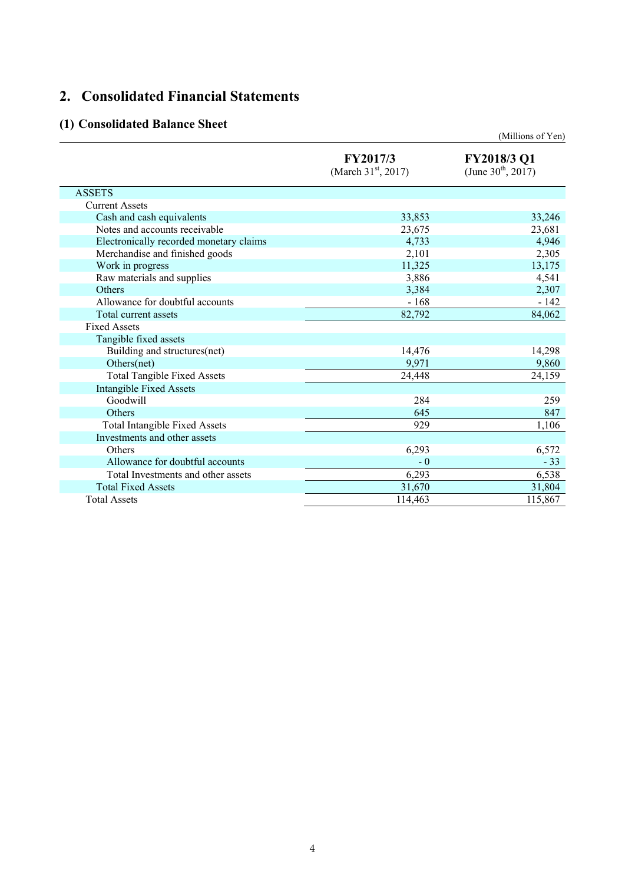# **2. Consolidated Financial Statements**

# **(1) Consolidated Balance Sheet**

|                                         |                                          | (Millions of Yen)                      |
|-----------------------------------------|------------------------------------------|----------------------------------------|
|                                         | FY2017/3<br>(March $31^{\rm st}$ , 2017) | FY2018/3 Q1<br>(June $30^{th}$ , 2017) |
| <b>ASSETS</b>                           |                                          |                                        |
| <b>Current Assets</b>                   |                                          |                                        |
| Cash and cash equivalents               | 33,853                                   | 33,246                                 |
| Notes and accounts receivable           | 23,675                                   | 23,681                                 |
| Electronically recorded monetary claims | 4,733                                    | 4,946                                  |
| Merchandise and finished goods          | 2,101                                    | 2,305                                  |
| Work in progress                        | 11,325                                   | 13,175                                 |
| Raw materials and supplies              | 3,886                                    | 4,541                                  |
| Others                                  | 3,384                                    | 2,307                                  |
| Allowance for doubtful accounts         | $-168$                                   | $-142$                                 |
| Total current assets                    | 82,792                                   | 84,062                                 |
| <b>Fixed Assets</b>                     |                                          |                                        |
| Tangible fixed assets                   |                                          |                                        |
| Building and structures(net)            | 14,476                                   | 14,298                                 |
| Others(net)                             | 9,971                                    | 9,860                                  |
| <b>Total Tangible Fixed Assets</b>      | 24,448                                   | 24,159                                 |
| <b>Intangible Fixed Assets</b>          |                                          |                                        |
| Goodwill                                | 284                                      | 259                                    |
| Others                                  | 645                                      | 847                                    |
| <b>Total Intangible Fixed Assets</b>    | 929                                      | 1,106                                  |
| Investments and other assets            |                                          |                                        |
| Others                                  | 6,293                                    | 6,572                                  |
| Allowance for doubtful accounts         | $-0$                                     | $-33$                                  |
| Total Investments and other assets      | 6,293                                    | 6,538                                  |
| <b>Total Fixed Assets</b>               | 31,670                                   | 31,804                                 |
| <b>Total Assets</b>                     | 114,463                                  | 115,867                                |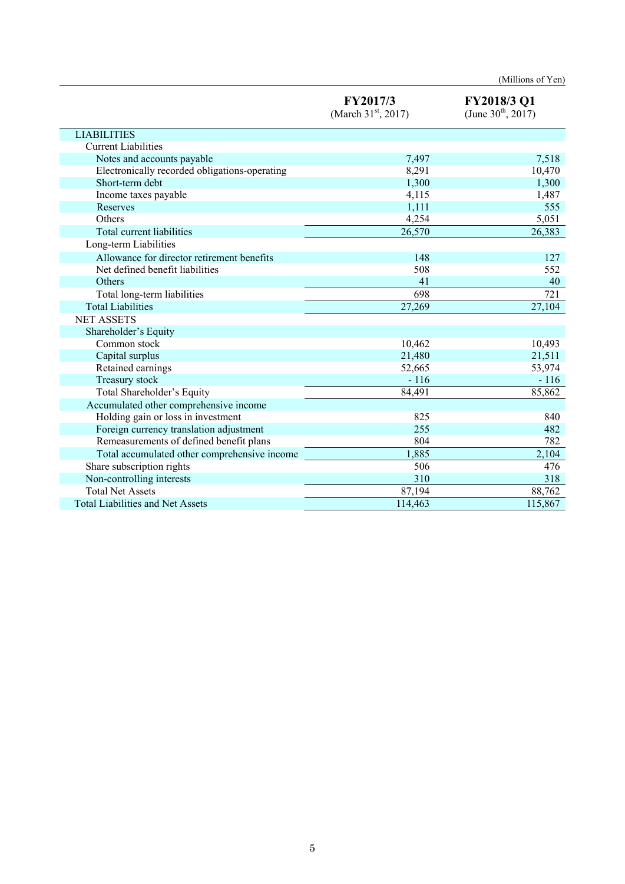|                                               |                                             | (Millions of Yen)                      |
|-----------------------------------------------|---------------------------------------------|----------------------------------------|
|                                               | FY2017/3<br>(March 31 <sup>st</sup> , 2017) | FY2018/3 Q1<br>(June $30^{th}$ , 2017) |
| <b>LIABILITIES</b>                            |                                             |                                        |
| <b>Current Liabilities</b>                    |                                             |                                        |
| Notes and accounts payable                    | 7,497                                       | 7,518                                  |
| Electronically recorded obligations-operating | 8,291                                       | 10,470                                 |
| Short-term debt                               | 1,300                                       | 1,300                                  |
| Income taxes payable                          | 4,115                                       | 1,487                                  |
| Reserves                                      | 1,111                                       | 555                                    |
| Others                                        | 4,254                                       | 5,051                                  |
| Total current liabilities                     | 26,570                                      | 26,383                                 |
| Long-term Liabilities                         |                                             |                                        |
| Allowance for director retirement benefits    | 148                                         | 127                                    |
| Net defined benefit liabilities               | 508                                         | 552                                    |
| Others                                        | 41                                          | 40                                     |
| Total long-term liabilities                   | 698                                         | 721                                    |
| <b>Total Liabilities</b>                      | 27,269                                      | 27,104                                 |
| <b>NET ASSETS</b>                             |                                             |                                        |
| Shareholder's Equity                          |                                             |                                        |
| Common stock                                  | 10,462                                      | 10,493                                 |
| Capital surplus                               | 21,480                                      | 21,511                                 |
| Retained earnings                             | 52,665                                      | 53,974                                 |
| Treasury stock                                | $-116$                                      | $-116$                                 |
| Total Shareholder's Equity                    | 84,491                                      | 85,862                                 |
| Accumulated other comprehensive income        |                                             |                                        |
| Holding gain or loss in investment            | 825                                         | 840                                    |
| Foreign currency translation adjustment       | 255                                         | 482                                    |
| Remeasurements of defined benefit plans       | 804                                         | 782                                    |
| Total accumulated other comprehensive income  | 1,885                                       | 2,104                                  |
| Share subscription rights                     | 506                                         | 476                                    |
| Non-controlling interests                     | 310                                         | 318                                    |
| <b>Total Net Assets</b>                       | 87,194                                      | 88,762                                 |
| <b>Total Liabilities and Net Assets</b>       | 114,463                                     | 115,867                                |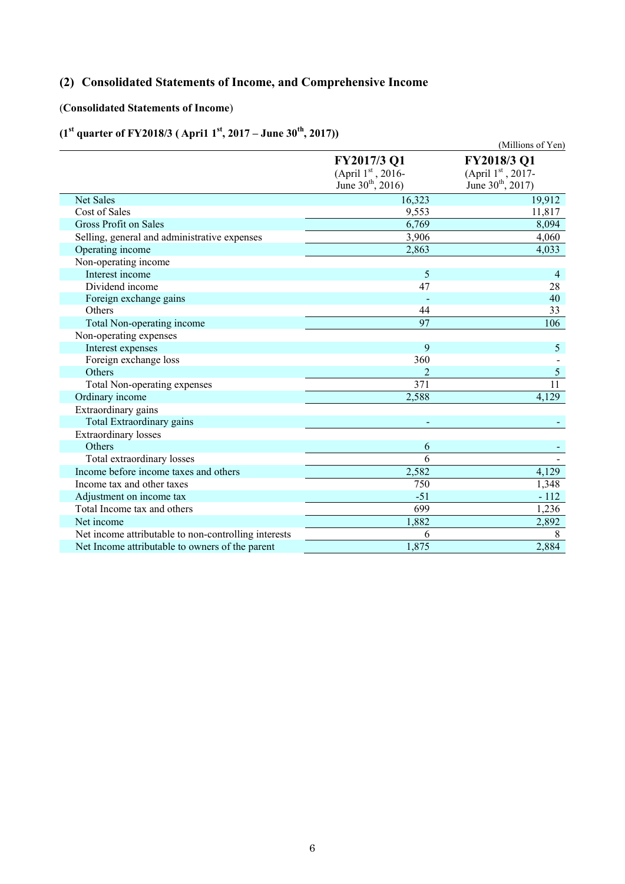# **(2) Consolidated Statements of Income, and Comprehensive Income**

## (**Consolidated Statements of Income**)

# (1<sup>st</sup> quarter of FY2018/3 (April 1<sup>st</sup>, 2017 – June 30<sup>th</sup>, 2017))

| quarter of Figure (April 1, 2017 ount 50             |                                                                                | (Millions of Yen)                                                              |
|------------------------------------------------------|--------------------------------------------------------------------------------|--------------------------------------------------------------------------------|
|                                                      | FY2017/3 Q1<br>(April $1^{\text{st}}$ , 2016-<br>June 30 <sup>th</sup> , 2016) | FY2018/3 Q1<br>(April $1^{\text{st}}$ , 2017-<br>June 30 <sup>th</sup> , 2017) |
| Net Sales                                            | 16,323                                                                         | 19,912                                                                         |
| Cost of Sales                                        | 9,553                                                                          | 11,817                                                                         |
| Gross Profit on Sales                                | 6,769                                                                          | 8,094                                                                          |
| Selling, general and administrative expenses         | 3,906                                                                          | 4,060                                                                          |
| Operating income                                     | 2,863                                                                          | 4,033                                                                          |
| Non-operating income                                 |                                                                                |                                                                                |
| Interest income                                      | 5                                                                              | $\overline{4}$                                                                 |
| Dividend income                                      | 47                                                                             | 28                                                                             |
| Foreign exchange gains                               |                                                                                | 40                                                                             |
| Others                                               | 44                                                                             | 33                                                                             |
| Total Non-operating income                           | $\overline{97}$                                                                | 106                                                                            |
| Non-operating expenses                               |                                                                                |                                                                                |
| Interest expenses                                    | 9                                                                              | 5                                                                              |
| Foreign exchange loss                                | 360                                                                            |                                                                                |
| Others                                               | 2                                                                              | $\mathfrak{S}$                                                                 |
| Total Non-operating expenses                         | $\overline{371}$                                                               | $\overline{11}$                                                                |
| Ordinary income                                      | 2,588                                                                          | 4,129                                                                          |
| Extraordinary gains                                  |                                                                                |                                                                                |
| Total Extraordinary gains                            |                                                                                |                                                                                |
| <b>Extraordinary</b> losses                          |                                                                                |                                                                                |
| Others                                               | 6                                                                              |                                                                                |
| Total extraordinary losses                           | 6                                                                              |                                                                                |
| Income before income taxes and others                | 2,582                                                                          | 4,129                                                                          |
| Income tax and other taxes                           | 750                                                                            | 1,348                                                                          |
| Adjustment on income tax                             | $-51$                                                                          | $-112$                                                                         |
| Total Income tax and others                          | 699                                                                            | 1,236                                                                          |
| Net income                                           | 1,882                                                                          | 2,892                                                                          |
| Net income attributable to non-controlling interests | 6                                                                              | 8                                                                              |
| Net Income attributable to owners of the parent      | 1,875                                                                          | 2,884                                                                          |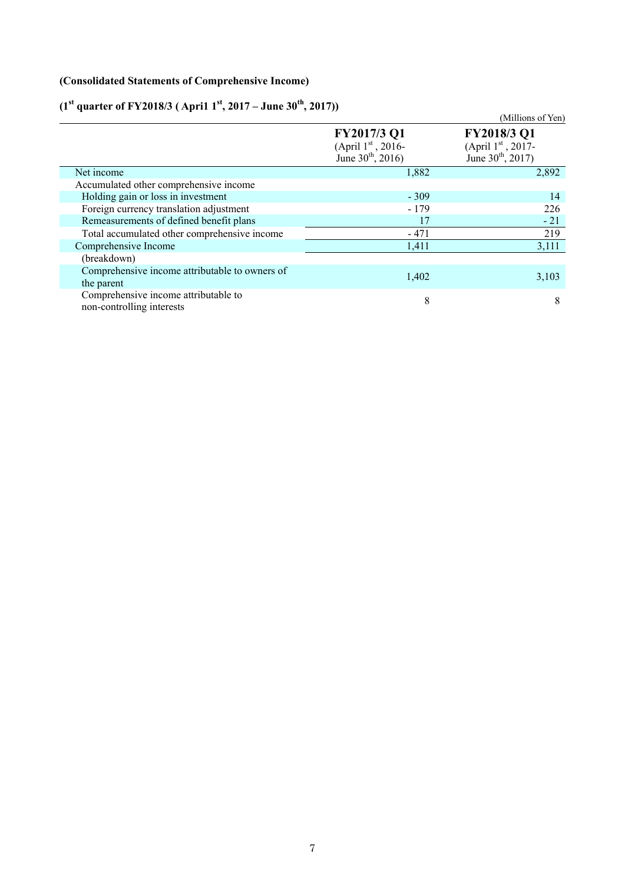## **(Consolidated Statements of Comprehensive Income)**

# (1<sup>st</sup> quarter of FY2018/3 (April 1<sup>st</sup>, 2017 – June 30<sup>th</sup>, 2017))

| (1 quarter of F 12010/9 (April 1 , 2017 – June 30, 2017)          |                                                               | (Millions of Yen)                                                           |
|-------------------------------------------------------------------|---------------------------------------------------------------|-----------------------------------------------------------------------------|
|                                                                   | FY2017/3 Q1<br>(April $1st$ , 2016-<br>June $30^{th}$ , 2016) | FY2018/3 Q1<br>(April $1^{\rm st}$ , 2017-<br>June 30 <sup>th</sup> , 2017) |
| Net income                                                        | 1,882                                                         | 2,892                                                                       |
| Accumulated other comprehensive income                            |                                                               |                                                                             |
| Holding gain or loss in investment                                | $-309$                                                        | 14                                                                          |
| Foreign currency translation adjustment                           | $-179$                                                        | 226                                                                         |
| Remeasurements of defined benefit plans                           | 17                                                            | $-21$                                                                       |
| Total accumulated other comprehensive income                      | $-471$                                                        | 219                                                                         |
| Comprehensive Income                                              | 1,411                                                         | 3,111                                                                       |
| (breakdown)                                                       |                                                               |                                                                             |
| Comprehensive income attributable to owners of<br>the parent      | 1,402                                                         | 3,103                                                                       |
| Comprehensive income attributable to<br>non-controlling interests | 8                                                             | 8                                                                           |